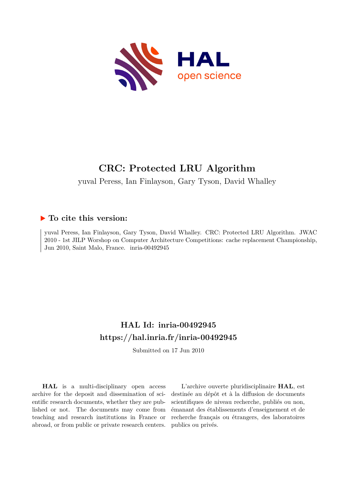

# **CRC: Protected LRU Algorithm**

yuval Peress, Ian Finlayson, Gary Tyson, David Whalley

# **To cite this version:**

yuval Peress, Ian Finlayson, Gary Tyson, David Whalley. CRC: Protected LRU Algorithm. JWAC 2010 - 1st JILP Worshop on Computer Architecture Competitions: cache replacement Championship, Jun 2010, Saint Malo, France. inria-00492945

# **HAL Id: inria-00492945 <https://hal.inria.fr/inria-00492945>**

Submitted on 17 Jun 2010

**HAL** is a multi-disciplinary open access archive for the deposit and dissemination of scientific research documents, whether they are published or not. The documents may come from teaching and research institutions in France or abroad, or from public or private research centers.

L'archive ouverte pluridisciplinaire **HAL**, est destinée au dépôt et à la diffusion de documents scientifiques de niveau recherche, publiés ou non, émanant des établissements d'enseignement et de recherche français ou étrangers, des laboratoires publics ou privés.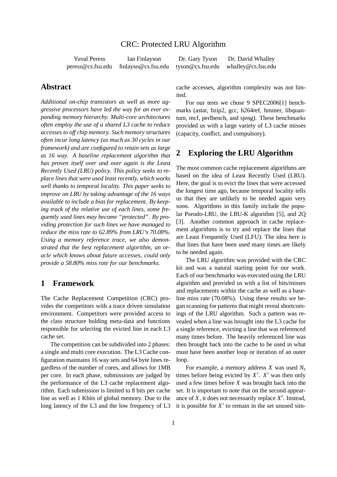#### CRC: Protected LRU Algorithm

peress@cs.fsu.edu finlayso@cs.fsu.edu tyson@cs.fsu.edu whalley@cs.fsu.edu

Yuval Peress Ian Finlayson Dr. Gary Tyson Dr. David Whalley

### **Abstract**

*Additional on-chip transistors as well as more aggressive processors have led the way for an ever expanding memory hierarchy. Multi-core architectures often employ the use of a shared L3 cache to reduce accesses to off chip memory. Such memory structures often incur long latency (as much as 30 cycles in our framework) and are configured to retain sets as large as 16 way. A baseline replacement algorithm that has proven itself over and over again is the Least Recently Used (LRU) policy. This policy seeks to replace lines that were used least recently, which works well thanks to temporal locality. This paper seeks to improve on LRU by taking advantage of the 16 ways available to include a bias for replacement. By keeping track of the relative use of each lines, some frequently used lines may become "protected". By providing protection for such lines we have managed to reduce the miss rate to 62.89% from LRU's 70.08%. Using a memory reference trace, we also demonstrated that the best replacement algorithm, an oracle which knows about future accesses, could only provide a 58.80% miss rate for our benchmarks.*

### **1 Framework**

The Cache Replacement Competition (CRC) provides the competitors with a trace driven simulation environment. Competitors were provided access to the class structure holding meta-data and functions responsible for selecting the evicted line in each L3 cache set.

The competition can be subdivided into 2 phases: a single and multi core execution. The L3 Cache configuration maintains 16 way sets and 64 byte lines regardless of the number of cores, and allows for 1MB per core. In each phase, submissions are judged by the performance of the L3 cache replacement algorithm. Each submission is limited to 8 bits per cache line as well as 1 Kbits of global memory. Due to the long latency of the L3 and the low frequency of L3

cache accesses, algorithm complexity was not limited.

For our tests we chose 9 SPEC2006[1] benchmarks (astar, bzip2, gcc, h264ref, hmmer, libquantum, mcf, perlbench, and sjeng). These benchmarks provided us with a large variety of L3 cache misses (capacity, conflict, and compulsory).

### **2 Exploring the LRU Algorithm**

The most common cache replacement algorithms are based on the idea of Least Recently Used (LRU). Here, the goal is to evict the lines that were accessed the longest time ago, because temporal locality tells us that they are unlikely to be needed again very soon. Algorithms in this family include the popular Pseudo-LRU, the LRU-K algorithm [5], and 2Q [3]. Another common approach in cache replacement algorithms is to try and replace the lines that are Least Frequently Used (LFU). The idea here is that lines that have been used many times are likely to be needed again.

The LRU algorithm was provided with the CRC kit and was a natural starting point for our work. Each of our benchmarks was executed using the LRU algorithm and provided us with a list of hits/misses and replacements within the cache as well as a baseline miss rate (70.08%). Using these results we began scanning for patterns that might reveal shortcomings of the LRU algorithm. Such a pattern was revealed when a line was brought into the L3 cache for a single reference, evicting a line that was referenced many times before. The heavily referenced line was then brought back into the cache to be used in what must have been another loop or iteration of an outer loop.

For example, a memory address *X* was used *N<sup>x</sup>* times before being evicted by *X* ′ . *X* ′ was then only used a few times before *X* was brought back into the set. It is important to note that on the second appearance of  $X$ , it does not necessarily replace  $X'$ . Instead, it is possible for  $X'$  to remain in the set unused sim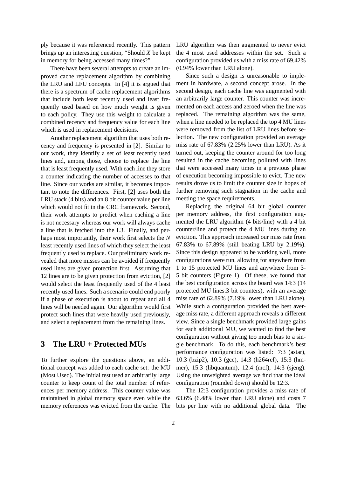ply because it was referenced recently. This pattern brings up an interesting question, "Should *X* be kept in memory for being accessed many times?"

There have been several attempts to create an improved cache replacement algorithm by combining the LRU and LFU concepts. In [4] it is argued that there is a spectrum of cache replacement algorithms that include both least recently used and least frequently used based on how much weight is given to each policy. They use this weight to calculate a combined recency and frequency value for each line which is used in replacement decisions.

Another replacement algorithm that uses both recency and frequency is presented in [2]. Similar to our work, they identify a set of least recently used lines and, among those, choose to replace the line that is least frequently used. With each line they store a counter indicating the number of accesses to that line. Since our works are similar, it becomes important to note the differences. First, [2] uses both the LRU stack (4 bits) and an 8 bit counter value per line which would not fit in the CRC framework. Second, their work attempts to predict when caching a line is not necessary whereas our work will always cache a line that is fetched into the L3. Finally, and perhaps most importantly, their work first selects the *N* least recently used lines of which they select the least frequently used to replace. Our preliminary work revealed that more misses can be avoided if frequently used lines are given protection first. Assuming that 12 lines are to be given protection from eviction, [2] would select the least frequently used of the 4 least recently used lines. Such a scenario could end poorly if a phase of execution is about to repeat and all 4 lines will be needed again. Our algorithm would first protect such lines that were heavily used previously, and select a replacement from the remaining lines.

## **3 The LRU + Protected MUs**

To further explore the questions above, an additional concept was added to each cache set: the MU (Most Used). The initial test used an arbitrarily large counter to keep count of the total number of references per memory address. This counter value was maintained in global memory space even while the memory references was evicted from the cache. The LRU algorithm was then augmented to never evict the 4 most used addresses within the set. Such a configuration provided us with a miss rate of 69.42% (0.94% lower than LRU alone).

Since such a design is unreasonable to implement in hardware, a second concept arose. In the second design, each cache line was augmented with an arbitrarily large counter. This counter was incremented on each access and zeroed when the line was replaced. The remaining algorithm was the same, when a line needed to be replaced the top 4 MU lines were removed from the list of LRU lines before selection. The new configuration provided an average miss rate of 67.83% (2.25% lower than LRU). As it turned out, keeping the counter around for too long resulted in the cache becoming polluted with lines that were accessed many times in a previous phase of execution becoming impossible to evict. The new results drove us to limit the counter size in hopes of further removing such stagnation in the cache and meeting the space requirements.

Replacing the original 64 bit global counter per memory address, the first configuration augmented the LRU algorithm (4 bits/line) with a 4 bit counter/line and protect the 4 MU lines during an eviction. This approach increased our miss rate from 67.83% to 67.89% (still beating LRU by 2.19%). Since this design appeared to be working well, more configurations were run, allowing for anywhere from 1 to 15 protected MU lines and anywhere from 3- 5 bit counters (Figure 1). Of these, we found that the best configuration across the board was 14:3 (14 protected MU lines:3 bit counters), with an average miss rate of 62.89% (7.19% lower than LRU alone). While such a configuration provided the best average miss rate, a different approach reveals a different view. Since a single benchmark provided large gains for each additional MU, we wanted to find the best configuration without giving too much bias to a single benchmark. To do this, each benchmark's best performance configuration was listed: 7:3 (astar), 10:3 (bzip2), 10:3 (gcc), 14:3 (h264ref), 15:3 (hmmer), 15:3 (libquantum), 12:4 (mcf), 14:3 (sjeng). Using the unweighted average we find that the ideal configuration (rounded down) should be 12:3.

The 12:3 configuration provides a miss rate of 63.6% (6.48% lower than LRU alone) and costs 7 bits per line with no additional global data. The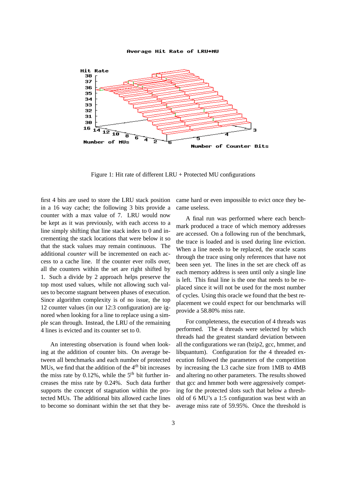

Figure 1: Hit rate of different LRU + Protected MU configurations

first 4 bits are used to store the LRU stack position in a 16 way cache; the following 3 bits provide a counter with a max value of 7. LRU would now be kept as it was previously, with each access to a line simply shifting that line stack index to 0 and incrementing the stack locations that were below it so that the stack values may remain continuous. The additional *counter* will be incremented on each access to a cache line. If the counter ever rolls over, all the counters within the set are right shifted by 1. Such a divide by 2 approach helps preserve the top most used values, while not allowing such values to become stagnant between phases of execution. Since algorithm complexity is of no issue, the top 12 counter values (in our 12:3 configuration) are ignored when looking for a line to replace using a simple scan through. Instead, the LRU of the remaining 4 lines is evicted and its counter set to 0.

An interesting observation is found when looking at the addition of counter bits. On average between all benchmarks and each number of protected MUs, we find that the addition of the 4*th* bit increases the miss rate by 0.12%, while the 5*th* bit further increases the miss rate by 0.24%. Such data further supports the concept of stagnation within the protected MUs. The additional bits allowed cache lines to become so dominant within the set that they became hard or even impossible to evict once they became useless.

A final run was performed where each benchmark produced a trace of which memory addresses are accessed. On a following run of the benchmark, the trace is loaded and is used during line eviction. When a line needs to be replaced, the oracle scans through the trace using only references that have not been seen yet. The lines in the set are check off as each memory address is seen until only a single line is left. This final line is the one that needs to be replaced since it will not be used for the most number of cycles. Using this oracle we found that the best replacement we could expect for our benchmarks will provide a 58.80% miss rate.

For completeness, the execution of 4 threads was performed. The 4 threads were selected by which threads had the greatest standard deviation between all the configurations we ran (bzip2, gcc, hmmer, and libquantum). Configuration for the 4 threaded execution followed the parameters of the competition by increasing the L3 cache size from 1MB to 4MB and altering no other parameters. The results showed that gcc and hmmer both were aggressively competing for the protected slots such that below a threshold of 6 MU's a 1:5 configuration was best with an average miss rate of 59.95%. Once the threshold is